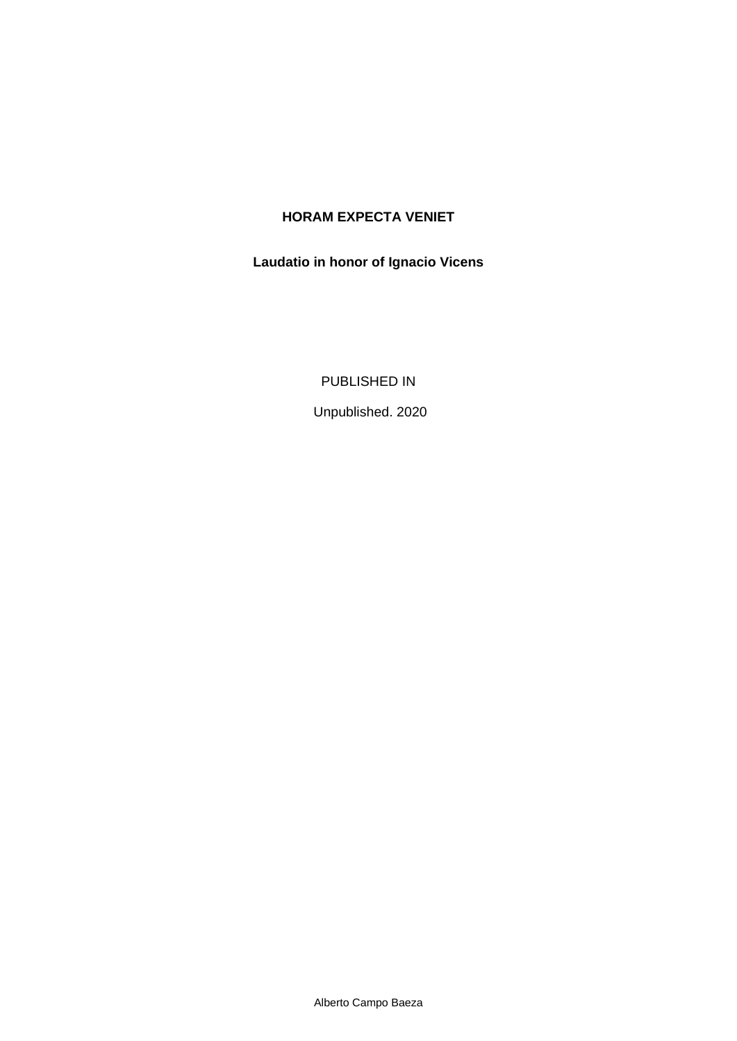## **HORAM EXPECTA VENIET**

## **Laudatio in honor of Ignacio Vicens**

PUBLISHED IN

Unpublished. 2020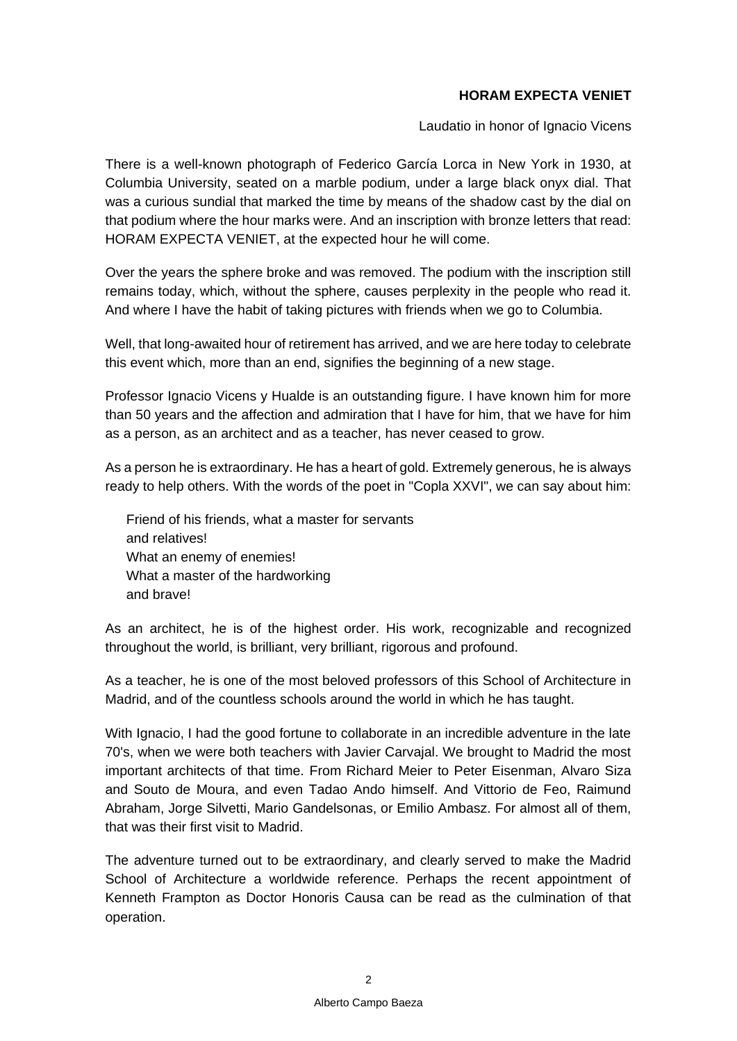## **HORAM EXPECTA VENIET**

Laudatio in honor of Ignacio Vicens

There is a well-known photograph of Federico García Lorca in New York in 1930, at Columbia University, seated on a marble podium, under a large black onyx dial. That was a curious sundial that marked the time by means of the shadow cast by the dial on that podium where the hour marks were. And an inscription with bronze letters that read: HORAM EXPECTA VENIET, at the expected hour he will come.

Over the years the sphere broke and was removed. The podium with the inscription still remains today, which, without the sphere, causes perplexity in the people who read it. And where I have the habit of taking pictures with friends when we go to Columbia.

Well, that long-awaited hour of retirement has arrived, and we are here today to celebrate this event which, more than an end, signifies the beginning of a new stage.

Professor Ignacio Vicens y Hualde is an outstanding figure. I have known him for more than 50 years and the affection and admiration that I have for him, that we have for him as a person, as an architect and as a teacher, has never ceased to grow.

As a person he is extraordinary. He has a heart of gold. Extremely generous, he is always ready to help others. With the words of the poet in "Copla XXVI", we can say about him:

Friend of his friends, what a master for servants and relatives! What an enemy of enemies! What a master of the hardworking and brave!

As an architect, he is of the highest order. His work, recognizable and recognized throughout the world, is brilliant, very brilliant, rigorous and profound.

As a teacher, he is one of the most beloved professors of this School of Architecture in Madrid, and of the countless schools around the world in which he has taught.

With Ignacio, I had the good fortune to collaborate in an incredible adventure in the late 70's, when we were both teachers with Javier Carvajal. We brought to Madrid the most important architects of that time. From Richard Meier to Peter Eisenman, Alvaro Siza and Souto de Moura, and even Tadao Ando himself. And Vittorio de Feo, Raimund Abraham, Jorge Silvetti, Mario Gandelsonas, or Emilio Ambasz. For almost all of them, that was their first visit to Madrid.

The adventure turned out to be extraordinary, and clearly served to make the Madrid School of Architecture a worldwide reference. Perhaps the recent appointment of Kenneth Frampton as Doctor Honoris Causa can be read as the culmination of that operation.